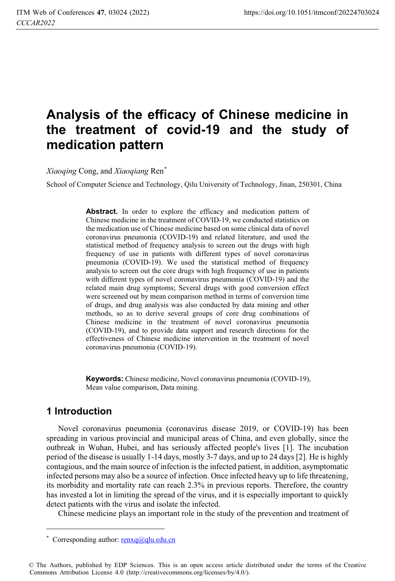# **Analysis of the efficacy of Chinese medicine in the treatment of covid-19 and the study of medication pattern**

*Xiaoqing* Cong, and *Xiaoqiang* Ren\*

School of Computer Science and Technology, Qilu University of Technology, Jinan, 250301, China

Abstract. In order to explore the efficacy and medication pattern of Chinese medicine in the treatment of COVID-19, we conducted statistics on the medication use of Chinese medicine based on some clinical data of novel coronavirus pneumonia (COVID-19) and related literature, and used the statistical method of frequency analysis to screen out the drugs with high frequency of use in patients with different types of novel coronavirus pneumonia (COVID-19). We used the statistical method of frequency analysis to screen out the core drugs with high frequency of use in patients with different types of novel coronavirus pneumonia (COVID-19) and the related main drug symptoms; Several drugs with good conversion effect were screened out by mean comparison method in terms of conversion time of drugs, and drug analysis was also conducted by data mining and other methods, so as to derive several groups of core drug combinations of Chinese medicine in the treatment of novel coronavirus pneumonia (COVID-19), and to provide data support and research directions for the effectiveness of Chinese medicine intervention in the treatment of novel coronavirus pneumonia (COVID-19).

**Keywords:** Chinese medicine, Novel coronavirus pneumonia (COVID-19), Mean value comparison, Data mining.

## **1 Introduction**

Novel coronavirus pneumonia (coronavirus disease 2019, or COVID-19) has been spreading in various provincial and municipal areas of China, and even globally, since the outbreak in Wuhan, Hubei, and has seriously affected people's lives [1]. The incubation period of the disease is usually 1-14 days, mostly 3-7 days, and up to 24 days [2]. He is highly contagious, and the main source of infection is the infected patient, in addition, asymptomatic infected persons may also be a source of infection. Once infected heavy up to life threatening, its morbidity and mortality rate can reach 2.3% in previous reports. Therefore, the country has invested a lot in limiting the spread of the virus, and it is especially important to quickly detect patients with the virus and isolate the infected.

Chinese medicine plays an important role in the study of the prevention and treatment of

<sup>&</sup>lt;u> 1989 - Johann Stein, mars an t-Amerikaansk politiker (</u> \* Corresponding author:  $renxq@qlu.edu.cn$ 

<sup>©</sup> The Authors, published by EDP Sciences. This is an open access article distributed under the terms of the Creative Commons Attribution License 4.0 (http://creativecommons.org/licenses/by/4.0/).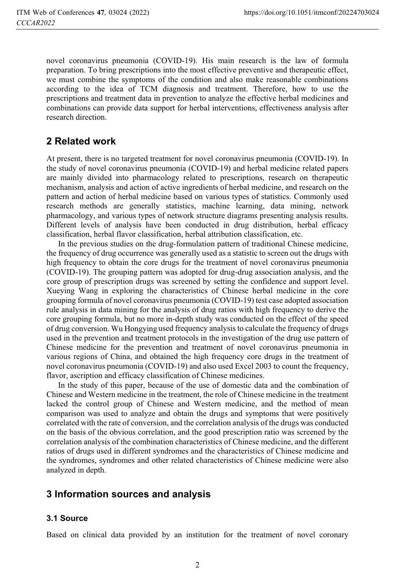novel coronavirus pneumonia (COVID-19). His main research is the law of formula preparation. To bring prescriptions into the most effective preventive and therapeutic effect, we must combine the symptoms of the condition and also make reasonable combinations according to the idea of TCM diagnosis and treatment. Therefore, how to use the prescriptions and treatment data in prevention to analyze the effective herbal medicines and combinations can provide data support for herbal interventions, effectiveness analysis after research direction.

# **2 Related work**

At present, there is no targeted treatment for novel coronavirus pneumonia (COVID-19). In the study of novel coronavirus pneumonia (COVID-19) and herbal medicine related papers are mainly divided into pharmacology related to prescriptions, research on therapeutic mechanism, analysis and action of active ingredients of herbal medicine, and research on the pattern and action of herbal medicine based on various types of statistics. Commonly used research methods are generally statistics, machine learning, data mining, network pharmacology, and various types of network structure diagrams presenting analysis results. Different levels of analysis have been conducted in drug distribution, herbal efficacy classification, herbal flavor classification, herbal attribution classification, etc.

In the previous studies on the drug-formulation pattern of traditional Chinese medicine, the frequency of drug occurrence was generally used as a statistic to screen out the drugs with high frequency to obtain the core drugs for the treatment of novel coronavirus pneumonia (COVID-19). The grouping pattern was adopted for drug-drug association analysis, and the core group of prescription drugs was screened by setting the confidence and support level. Xueying Wang in exploring the characteristics of Chinese herbal medicine in the core grouping formula of novel coronavirus pneumonia (COVID-19) test case adopted association rule analysis in data mining for the analysis of drug ratios with high frequency to derive the core grouping formula, but no more in-depth study was conducted on the effect of the speed of drug conversion. Wu Hongying used frequency analysis to calculate the frequency of drugs used in the prevention and treatment protocols in the investigation of the drug use pattern of Chinese medicine for the prevention and treatment of novel coronavirus pneumonia in various regions of China, and obtained the high frequency core drugs in the treatment of novel coronavirus pneumonia (COVID-19) and also used Excel 2003 to count the frequency, flavor, ascription and efficacy classification of Chinese medicines.

In the study of this paper, because of the use of domestic data and the combination of Chinese and Western medicine in the treatment, the role of Chinese medicine in the treatment lacked the control group of Chinese and Western medicine, and the method of mean comparison was used to analyze and obtain the drugs and symptoms that were positively correlated with the rate of conversion, and the correlation analysis of the drugs was conducted on the basis of the obvious correlation, and the good prescription ratio was screened by the correlation analysis of the combination characteristics of Chinese medicine, and the different ratios of drugs used in different syndromes and the characteristics of Chinese medicine and the syndromes, syndromes and other related characteristics of Chinese medicine were also analyzed in depth.

# **3 Information sources and analysis**

## **3.1 Source**

Based on clinical data provided by an institution for the treatment of novel coronary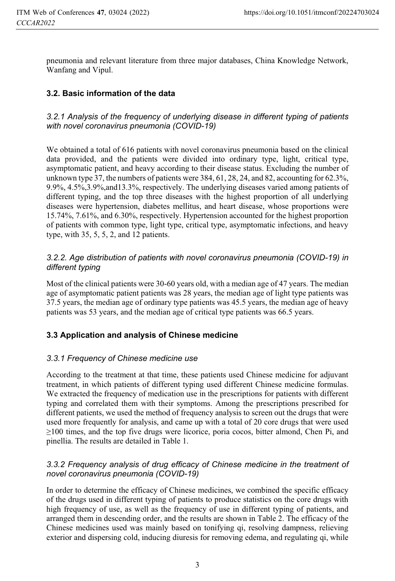pneumonia and relevant literature from three major databases, China Knowledge Network, Wanfang and Vipul.

### **3.2. Basic information of the data**

*3.2.1 Analysis of the frequency of underlying disease in different typing of patients with novel coronavirus pneumonia (COVID-19)*

We obtained a total of 616 patients with novel coronavirus pneumonia based on the clinical data provided, and the patients were divided into ordinary type, light, critical type, asymptomatic patient, and heavy according to their disease status. Excluding the number of unknown type 37, the numbers of patients were 384, 61, 28, 24, and 82, accounting for 62.3%, 9.9%, 4.5%,3.9%,and13.3%, respectively. The underlying diseases varied among patients of different typing, and the top three diseases with the highest proportion of all underlying diseases were hypertension, diabetes mellitus, and heart disease, whose proportions were 15.74%, 7.61%, and 6.30%, respectively. Hypertension accounted for the highest proportion of patients with common type, light type, critical type, asymptomatic infections, and heavy type, with 35, 5, 5, 2, and 12 patients.

### *3.2.2. Age distribution of patients with novel coronavirus pneumonia (COVID-19) in different typing*

Most of the clinical patients were 30-60 years old, with a median age of 47 years. The median age of asymptomatic patient patients was 28 years, the median age of light type patients was 37.5 years, the median age of ordinary type patients was 45.5 years, the median age of heavy patients was 53 years, and the median age of critical type patients was 66.5 years.

### **3.3 Application and analysis of Chinese medicine**

#### *3.3.1 Frequency of Chinese medicine use*

According to the treatment at that time, these patients used Chinese medicine for adjuvant treatment, in which patients of different typing used different Chinese medicine formulas. We extracted the frequency of medication use in the prescriptions for patients with different typing and correlated them with their symptoms. Among the prescriptions prescribed for different patients, we used the method of frequency analysis to screen out the drugs that were used more frequently for analysis, and came up with a total of 20 core drugs that were used  $\geq$ 100 times, and the top five drugs were licorice, poria cocos, bitter almond, Chen Pi, and pinellia. The results are detailed in Table 1.

#### *3.3.2 Frequency analysis of drug efficacy of Chinese medicine in the treatment of novel coronavirus pneumonia (COVID-19)*

In order to determine the efficacy of Chinese medicines, we combined the specific efficacy of the drugs used in different typing of patients to produce statistics on the core drugs with high frequency of use, as well as the frequency of use in different typing of patients, and arranged them in descending order, and the results are shown in Table 2. The efficacy of the Chinese medicines used was mainly based on tonifying qi, resolving dampness, relieving exterior and dispersing cold, inducing diuresis for removing edema, and regulating qi, while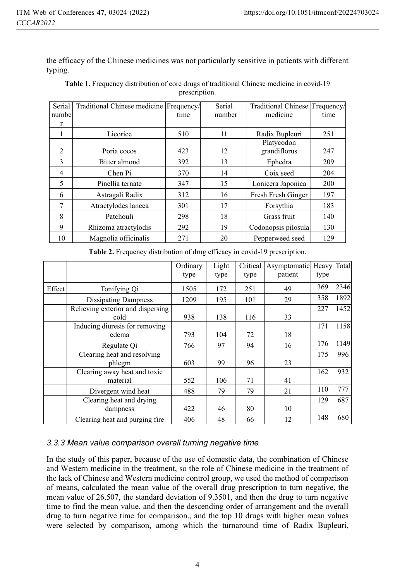the efficacy of the Chinese medicines was not particularly sensitive in patients with different typing.

| Serial       | Traditional Chinese medicine Frequency/ |      | Serial | Traditional Chinese   Frequency/ |      |
|--------------|-----------------------------------------|------|--------|----------------------------------|------|
| numbel       |                                         | time | number | medicine                         | time |
| r            |                                         |      |        |                                  |      |
|              | Licorice                                | 510  | 11     | Radix Bupleuri                   | 251  |
|              |                                         |      |        | Platycodon                       |      |
| 2            | Poria cocos                             | 423  | 12     | grandiflorus                     | 247  |
| $\mathbf{3}$ | Bitter almond                           | 392  | 13     | Ephedra                          | 209  |
| 4            | Chen Pi                                 | 370  | 14     | Coix seed                        | 204  |
| 5            | Pinellia ternate                        | 347  | 15     | Lonicera Japonica                | 200  |
| 6            | Astragali Radix                         | 312  | 16     | Fresh Fresh Ginger               | 197  |
| 7            | Atractylodes lancea                     | 301  | 17     | Forsythia                        | 183  |
| 8            | Patchouli                               | 298  | 18     | Grass fruit                      | 140  |
| 9            | Rhizoma atractylodis                    | 292  | 19     | Codonopsis pilosula              | 130  |
| 10           | Magnolia officinalis                    | 271  | 20     | Pepperweed seed                  | 129  |

**Table 1.** Frequency distribution of core drugs of traditional Chinese medicine in covid-19 prescription.

|        |                                   | Ordinary | Light | Critical | Asymptomatic Heavy Total |      |      |
|--------|-----------------------------------|----------|-------|----------|--------------------------|------|------|
|        |                                   | type     | type  | type     | patient                  | type |      |
| Effect | Tonifying Qi                      | 1505     | 172   | 251      | 49                       | 369  | 2346 |
|        | <b>Dissipating Dampness</b>       | 1209     | 195   | 101      | 29                       | 358  | 1892 |
|        | Relieving exterior and dispersing |          |       |          |                          | 227  | 1452 |
|        | cold                              | 938      | 138   | 116      | 33                       |      |      |
|        | Inducing diuresis for removing    |          |       |          |                          | 171  | 1158 |
|        | edema                             | 793      | 104   | 72       | 18                       |      |      |
|        | Regulate Qi                       | 766      | 97    | 94       | 16                       | 176  | 1149 |
|        | Clearing heat and resolving       |          |       |          |                          | 175  | 996  |
|        | phlegm                            | 603      | 99    | 96       | 23                       |      |      |
|        | Clearing away heat and toxic      |          |       |          |                          | 162  | 932  |
|        | material                          | 552      | 106   | 71       | 41                       |      |      |
|        | Divergent wind heat               | 488      | 79    | 79       | 21                       | 110  | 777  |
|        | Clearing heat and drying          |          |       |          |                          | 129  | 687  |
|        | dampness                          | 422      | 46    | 80       | 10                       |      |      |
|        | Clearing heat and purging fire.   | 406      | 48    | 66       | 12                       | 148  | 680  |

#### *3.3.3 Mean value comparison overall turning negative time*

In the study of this paper, because of the use of domestic data, the combination of Chinese and Western medicine in the treatment, so the role of Chinese medicine in the treatment of the lack of Chinese and Western medicine control group, we used the method of comparison of means, calculated the mean value of the overall drug prescription to turn negative, the mean value of 26.507, the standard deviation of 9.3501, and then the drug to turn negative time to find the mean value, and then the descending order of arrangement and the overall drug to turn negative time for comparison., and the top 10 drugs with higher mean values were selected by comparison, among which the turnaround time of Radix Bupleuri,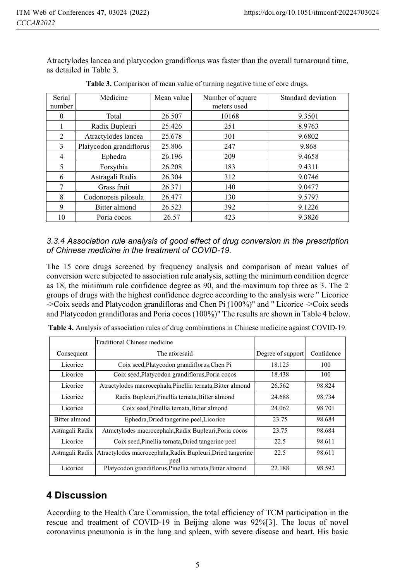Atractylodes lancea and platycodon grandiflorus was faster than the overall turnaround time, as detailed in Table 3.

| Serial<br>number | Medicine                | Mean value | Number of aquare<br>meters used | Standard deviation |
|------------------|-------------------------|------------|---------------------------------|--------------------|
|                  | Total                   | 26.507     | 10168                           | 9.3501             |
|                  | Radix Bupleuri          | 25.426     | 251                             | 8.9763             |
| $\mathfrak{D}$   | Atractylodes lancea     | 25.678     | 301                             | 9.6802             |
| 3                | Platycodon grandiflorus | 25.806     | 247                             | 9.868              |
| 4                | Ephedra                 | 26.196     | 209                             | 9.4658             |
| 5                | Forsythia               | 26.208     | 183                             | 9.4311             |
| 6                | Astragali Radix         | 26.304     | 312                             | 9.0746             |
| 7                | Grass fruit             | 26.371     | 140                             | 9.0477             |
| 8                | Codonopsis pilosula     | 26.477     | 130                             | 9.5797             |
| 9                | Bitter almond           | 26.523     | 392                             | 9.1226             |
| 10               | Poria cocos             | 26.57      | 423                             | 9.3826             |

**Table 3.** Comparison of mean value of turning negative time of core drugs.

*3.3.4 Association rule analysis of good effect of drug conversion in the prescription of Chinese medicine in the treatment of COVID-19.* 

The 15 core drugs screened by frequency analysis and comparison of mean values of conversion were subjected to association rule analysis, setting the minimum condition degree as 18, the minimum rule confidence degree as 90, and the maximum top three as 3. The 2 groups of drugs with the highest confidence degree according to the analysis were " Licorice ->Coix seeds and Platycodon grandifloras and Chen Pi (100%)" and " Licorice ->Coix seeds and Platycodon grandifloras and Poria cocos (100%)" The results are shown in Table 4 below.

|                 | Traditional Chinese medicine                                       |                   |            |
|-----------------|--------------------------------------------------------------------|-------------------|------------|
| Consequent      | The aforesaid                                                      | Degree of support | Confidence |
| Licorice        | Coix seed, Platycodon grandiflorus, Chen Pi                        | 18.125            | 100        |
| Licorice        | Coix seed, Platycodon grandiflorus, Poria cocos                    | 18.438            | 100        |
| Licorice        | Atractylodes macrocephala, Pinellia ternata, Bitter almond         | 26.562            | 98.824     |
| Licorice        | Radix Bupleuri, Pinellia ternata, Bitter almond                    | 24.688            | 98.734     |
| Licorice        | Coix seed, Pinellia ternata, Bitter almond                         | 24.062            | 98.701     |
| Bitter almond   | Ephedra, Dried tangerine peel, Licorice                            | 23.75             | 98.684     |
| Astragali Radix | Atractylodes macrocephala, Radix Bupleuri, Poria cocos             | 23.75             | 98.684     |
| Licorice        | Coix seed, Pinellia ternata, Dried tangerine peel                  | 22.5              | 98.611     |
| Astragali Radix | Atractylodes macrocephala, Radix Bupleuri, Dried tangerine<br>peel |                   | 98.611     |
| Licorice        | Platycodon grandiflorus, Pinellia ternata, Bitter almond           |                   | 98.592     |

**Table 4.** Analysis of association rules of drug combinations in Chinese medicine against COVID-19.

# **4 Discussion**

According to the Health Care Commission, the total efficiency of TCM participation in the rescue and treatment of COVID-19 in Beijing alone was 92%[3]. The locus of novel coronavirus pneumonia is in the lung and spleen, with severe disease and heart. His basic